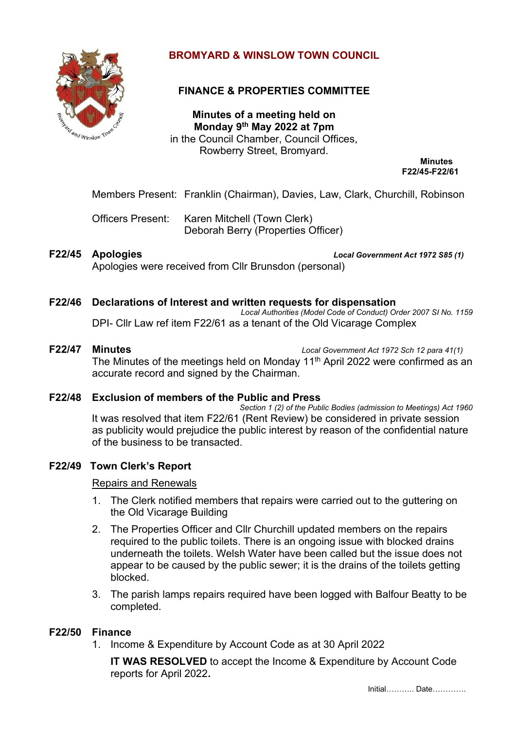

# **BROMYARD & WINSLOW TOWN COUNCIL**

# **FINANCE & PROPERTIES COMMITTEE**

**Minutes of a meeting held on Monday 9 th May 2022 at 7pm** in the Council Chamber, Council Offices, Rowberry Street, Bromyard.

**Minutes F22/45-F22/61**

Members Present: Franklin (Chairman), Davies, Law, Clark, Churchill, Robinson

Officers Present: Karen Mitchell (Town Clerk) Deborah Berry (Properties Officer)

**F22/45 Apologies** *Local Government Act 1972 S85 (1)* Apologies were received from Cllr Brunsdon (personal)

# **F22/46 Declarations of Interest and written requests for dispensation**

*Local Authorities (Model Code of Conduct) Order 2007 SI No. 1159* DPI- Cllr Law ref item F22/61 as a tenant of the Old Vicarage Complex

**F22/47 Minutes** *Local Government Act 1972 Sch 12 para 41(1)*

The Minutes of the meetings held on Monday 11<sup>th</sup> April 2022 were confirmed as an accurate record and signed by the Chairman.

## **F22/48 Exclusion of members of the Public and Press**

*Section 1 (2) of the Public Bodies (admission to Meetings) Act 1960*  It was resolved that item F22/61 (Rent Review) be considered in private session as publicity would prejudice the public interest by reason of the confidential nature of the business to be transacted.

## **F22/49 Town Clerk's Report**

#### Repairs and Renewals

- 1. The Clerk notified members that repairs were carried out to the guttering on the Old Vicarage Building
- 2. The Properties Officer and Cllr Churchill updated members on the repairs required to the public toilets. There is an ongoing issue with blocked drains underneath the toilets. Welsh Water have been called but the issue does not appear to be caused by the public sewer; it is the drains of the toilets getting blocked.
- 3. The parish lamps repairs required have been logged with Balfour Beatty to be completed.

## **F22/50 Finance**

1. Income & Expenditure by Account Code as at 30 April 2022

**IT WAS RESOLVED** to accept the Income & Expenditure by Account Code reports for April 2022**.**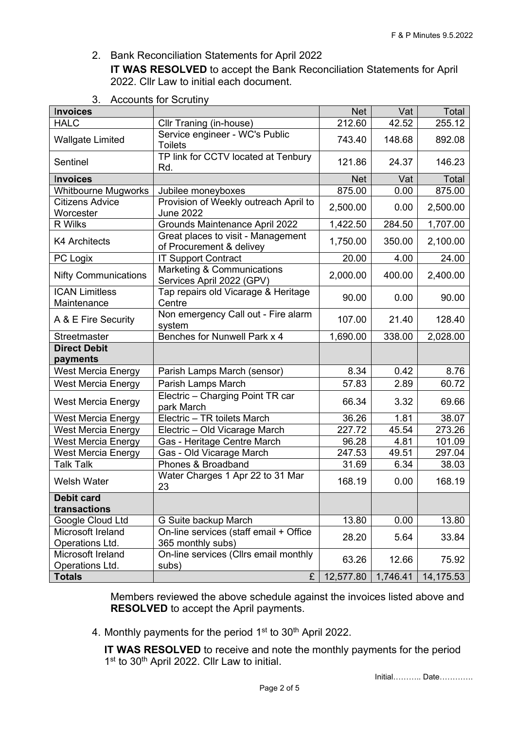2. Bank Reconciliation Statements for April 2022 **IT WAS RESOLVED** to accept the Bank Reconciliation Statements for April 2022. Cllr Law to initial each document.

| <b>Invoices</b>                      |                                                                | <b>Net</b> | Vat      | Total     |
|--------------------------------------|----------------------------------------------------------------|------------|----------|-----------|
| <b>HALC</b>                          | Cllr Traning (in-house)                                        | 212.60     | 42.52    | 255.12    |
| <b>Wallgate Limited</b>              | Service engineer - WC's Public<br><b>Toilets</b>               | 743.40     | 148.68   | 892.08    |
| Sentinel                             | TP link for CCTV located at Tenbury<br>Rd.                     | 121.86     | 24.37    | 146.23    |
| <b>Invoices</b>                      |                                                                | <b>Net</b> | Vat      | Total     |
| <b>Whitbourne Mugworks</b>           | Jubilee moneyboxes                                             | 875.00     | 0.00     | 875.00    |
| Citizens Advice                      | Provision of Weekly outreach April to                          | 2,500.00   | 0.00     | 2,500.00  |
| Worcester                            | <b>June 2022</b>                                               |            |          |           |
| R Wilks                              | Grounds Maintenance April 2022                                 | 1,422.50   | 284.50   | 1,707.00  |
| <b>K4 Architects</b>                 | Great places to visit - Management<br>of Procurement & delivey | 1,750.00   | 350.00   | 2,100.00  |
| PC Logix                             | <b>IT Support Contract</b>                                     | 20.00      | 4.00     | 24.00     |
| <b>Nifty Communications</b>          | Marketing & Communications<br>Services April 2022 (GPV)        | 2,000.00   | 400.00   | 2,400.00  |
| <b>ICAN Limitless</b><br>Maintenance | Tap repairs old Vicarage & Heritage<br>Centre                  | 90.00      | 0.00     | 90.00     |
| A & E Fire Security                  | Non emergency Call out - Fire alarm<br>system                  | 107.00     | 21.40    | 128.40    |
| Streetmaster                         | Benches for Nunwell Park x 4                                   | 1,690.00   | 338.00   | 2,028.00  |
| <b>Direct Debit</b>                  |                                                                |            |          |           |
| payments                             |                                                                |            |          |           |
| <b>West Mercia Energy</b>            | Parish Lamps March (sensor)                                    | 8.34       | 0.42     | 8.76      |
| <b>West Mercia Energy</b>            | Parish Lamps March                                             | 57.83      | 2.89     | 60.72     |
| <b>West Mercia Energy</b>            | Electric - Charging Point TR car<br>park March                 | 66.34      | 3.32     | 69.66     |
| <b>West Mercia Energy</b>            | Electric - TR toilets March                                    | 36.26      | 1.81     | 38.07     |
| <b>West Mercia Energy</b>            | Electric - Old Vicarage March                                  | 227.72     | 45.54    | 273.26    |
| <b>West Mercia Energy</b>            | Gas - Heritage Centre March                                    | 96.28      | 4.81     | 101.09    |
| <b>West Mercia Energy</b>            | Gas - Old Vicarage March                                       | 247.53     | 49.51    | 297.04    |
| <b>Talk Talk</b>                     | Phones & Broadband                                             | 31.69      | 6.34     | 38.03     |
| <b>Welsh Water</b>                   | Water Charges 1 Apr 22 to 31 Mar<br>23                         | 168.19     | 0.00     | 168.19    |
| <b>Debit card</b>                    |                                                                |            |          |           |
| transactions                         |                                                                |            |          |           |
| Google Cloud Ltd                     | G Suite backup March                                           | 13.80      | 0.00     | 13.80     |
| Microsoft Ireland                    | On-line services (staff email + Office                         | 28.20      | 5.64     | 33.84     |
| Operations Ltd.                      | 365 monthly subs)                                              |            |          |           |
| Microsoft Ireland<br>Operations Ltd. | On-line services (Cllrs email monthly<br>subs)                 | 63.26      | 12.66    | 75.92     |
| <b>Totals</b>                        | £                                                              | 12,577.80  | 1,746.41 | 14,175.53 |

3. Accounts for Scrutiny

Members reviewed the above schedule against the invoices listed above and **RESOLVED** to accept the April payments.

4. Monthly payments for the period 1<sup>st</sup> to 30<sup>th</sup> April 2022.

**IT WAS RESOLVED** to receive and note the monthly payments for the period 1<sup>st</sup> to 30<sup>th</sup> April 2022. Cllr Law to initial.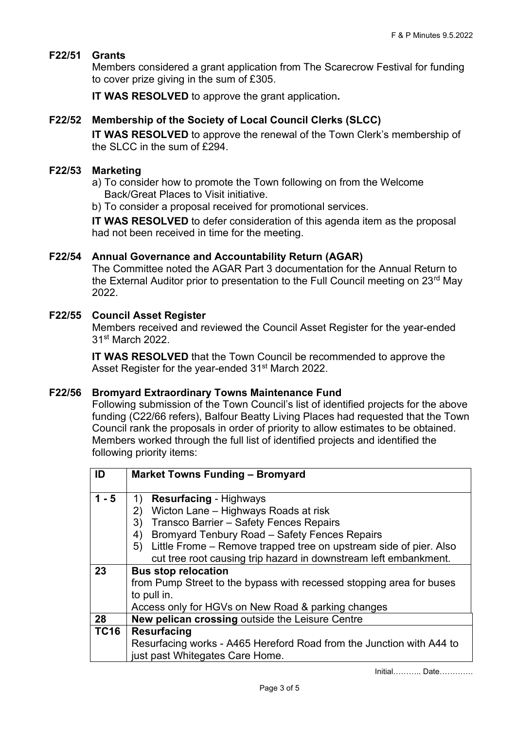## **F22/51 Grants**

Members considered a grant application from The Scarecrow Festival for funding to cover prize giving in the sum of £305.

**IT WAS RESOLVED** to approve the grant application**.**

## **F22/52 Membership of the Society of Local Council Clerks (SLCC)**

**IT WAS RESOLVED** to approve the renewal of the Town Clerk's membership of the SLCC in the sum of £294.

#### **F22/53 Marketing**

- a) To consider how to promote the Town following on from the Welcome Back/Great Places to Visit initiative.
- b) To consider a proposal received for promotional services.

**IT WAS RESOLVED** to defer consideration of this agenda item as the proposal had not been received in time for the meeting.

#### **F22/54 Annual Governance and Accountability Return (AGAR)**

The Committee noted the AGAR Part 3 documentation for the Annual Return to the External Auditor prior to presentation to the Full Council meeting on 23<sup>rd</sup> May 2022.

#### **F22/55 Council Asset Register**

Members received and reviewed the Council Asset Register for the year-ended 31st March 2022.

**IT WAS RESOLVED** that the Town Council be recommended to approve the Asset Register for the year-ended 31<sup>st</sup> March 2022.

### **F22/56 Bromyard Extraordinary Towns Maintenance Fund**

Following submission of the Town Council's list of identified projects for the above funding (C22/66 refers), Balfour Beatty Living Places had requested that the Town Council rank the proposals in order of priority to allow estimates to be obtained. Members worked through the full list of identified projects and identified the following priority items:

| ID          | <b>Market Towns Funding - Bromyard</b>                                  |  |
|-------------|-------------------------------------------------------------------------|--|
|             |                                                                         |  |
| $1 - 5$     | <b>Resurfacing - Highways</b><br>1)                                     |  |
|             | Wicton Lane - Highways Roads at risk<br>(2)                             |  |
|             | Transco Barrier - Safety Fences Repairs<br>3)                           |  |
|             | Bromyard Tenbury Road - Safety Fences Repairs<br>4)                     |  |
|             | Little Frome – Remove trapped tree on upstream side of pier. Also<br>5) |  |
|             | cut tree root causing trip hazard in downstream left embankment.        |  |
| 23          | <b>Bus stop relocation</b>                                              |  |
|             | from Pump Street to the bypass with recessed stopping area for buses    |  |
|             | to pull in.                                                             |  |
|             | Access only for HGVs on New Road & parking changes                      |  |
| 28          | New pelican crossing outside the Leisure Centre                         |  |
| <b>TC16</b> | <b>Resurfacing</b>                                                      |  |
|             | Resurfacing works - A465 Hereford Road from the Junction with A44 to    |  |
|             | just past Whitegates Care Home.                                         |  |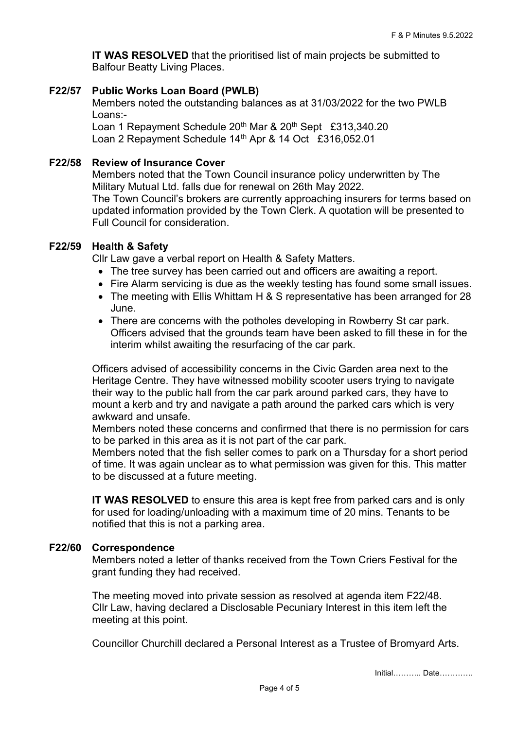**IT WAS RESOLVED** that the prioritised list of main projects be submitted to Balfour Beatty Living Places.

## **F22/57 Public Works Loan Board (PWLB)**

Members noted the outstanding balances as at 31/03/2022 for the two PWLB Loans:-

Loan 1 Repayment Schedule 20<sup>th</sup> Mar & 20<sup>th</sup> Sept £313,340.20 Loan 2 Repayment Schedule 14<sup>th</sup> Apr & 14 Oct £316,052.01

## **F22/58 Review of Insurance Cover**

Members noted that the Town Council insurance policy underwritten by The Military Mutual Ltd. falls due for renewal on 26th May 2022. The Town Council's brokers are currently approaching insurers for terms based on updated information provided by the Town Clerk. A quotation will be presented to Full Council for consideration.

## **F22/59 Health & Safety**

Cllr Law gave a verbal report on Health & Safety Matters.

- The tree survey has been carried out and officers are awaiting a report.
- Fire Alarm servicing is due as the weekly testing has found some small issues.
- The meeting with Ellis Whittam H & S representative has been arranged for 28 June.
- There are concerns with the potholes developing in Rowberry St car park. Officers advised that the grounds team have been asked to fill these in for the interim whilst awaiting the resurfacing of the car park.

Officers advised of accessibility concerns in the Civic Garden area next to the Heritage Centre. They have witnessed mobility scooter users trying to navigate their way to the public hall from the car park around parked cars, they have to mount a kerb and try and navigate a path around the parked cars which is very awkward and unsafe.

Members noted these concerns and confirmed that there is no permission for cars to be parked in this area as it is not part of the car park.

Members noted that the fish seller comes to park on a Thursday for a short period of time. It was again unclear as to what permission was given for this. This matter to be discussed at a future meeting.

**IT WAS RESOLVED** to ensure this area is kept free from parked cars and is only for used for loading/unloading with a maximum time of 20 mins. Tenants to be notified that this is not a parking area.

### **F22/60 Correspondence**

Members noted a letter of thanks received from the Town Criers Festival for the grant funding they had received.

The meeting moved into private session as resolved at agenda item F22/48. Cllr Law, having declared a Disclosable Pecuniary Interest in this item left the meeting at this point.

Councillor Churchill declared a Personal Interest as a Trustee of Bromyard Arts.